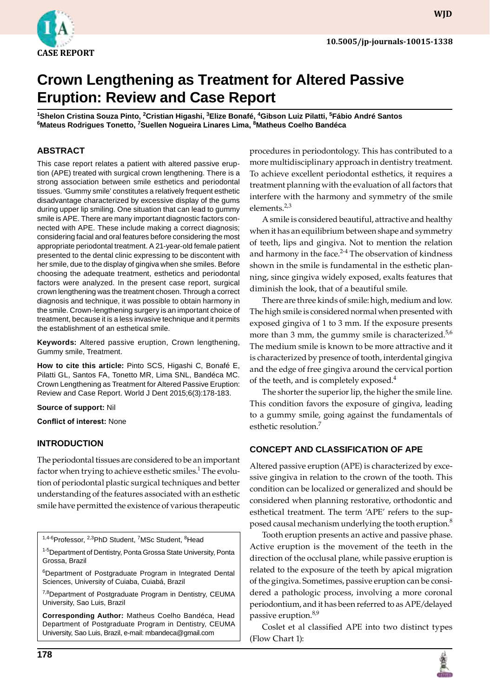

# **Crown Lengthening as Treatment for Altered Passive Eruption: Review and Case Report**

<sup>1</sup>Shelon Cristina Souza Pinto, <sup>2</sup>Cristian Higashi, <sup>3</sup>Elize Bonafé, <sup>4</sup>Gibson Luiz Pilatti, <sup>5</sup>Fábio André Santos **6 Mateus Rodrigues Tonetto, 7 Suellen Nogueira Linares Lima, 8 Matheus Coelho Bandéca**

# **ABSTRACT**

This case report relates a patient with altered passive eruption (APE) treated with surgical crown lengthening. There is a strong association between smile esthetics and periodontal tissues. 'Gummy smile' constitutes a relatively frequent esthetic disadvantage characterized by excessive display of the gums during upper lip smiling. One situation that can lead to gummy smile is APE. There are many important diagnostic factors connected with APE. These include making a correct diagnosis; considering facial and oral features before considering the most appropriate periodontal treatment. A 21-year-old female patient presented to the dental clinic expressing to be discontent with her smile, due to the display of gingiva when she smiles. Before choosing the adequate treatment, esthetics and periodontal factors were analyzed. In the present case report, surgical crown lengthening was the treatment chosen. Through a correct diagnosis and technique, it was possible to obtain harmony in the smile. Crown-lengthening surgery is an important choice of treatment, because it is a less invasive technique and it permits the establishment of an esthetical smile.

**Keywords:** Altered passive eruption, Crown lengthening, Gummy smile, Treatment.

**How to cite this article:** Pinto SCS, Higashi C, Bonafé E, Pilatti GL, Santos FA, Tonetto MR, Lima SNL, Bandéca MC. Crown Lengthening as Treatment for Altered Passive Eruption: Review and Case Report. World J Dent 2015;6(3):178-183.

#### **Source of support:** Nil

**Conflict of interest:** None

# **Introduction**

The periodontal tissues are considered to be an important factor when trying to achieve esthetic smiles.<sup>1</sup> The evolution of periodontal plastic surgical techniques and better understanding of the features associated with an esthetic smile have permitted the existence of various therapeutic

<sup>1,4-6</sup>Professor, <sup>2,3</sup>PhD Student, <sup>7</sup>MSc Student, <sup>8</sup>Head

<sup>1-5</sup>Department of Dentistry, Ponta Grossa State University, Ponta Grossa, Brazil

6 Department of Postgraduate Program in Integrated Dental Sciences, University of Cuiaba, Cuiabá, Brazil

<sup>7,8</sup>Department of Postgraduate Program in Dentistry, CEUMA University, Sao Luis, Brazil

**Corresponding Author:** Matheus Coelho Bandéca, Head Department of Postgraduate Program in Dentistry, CEUMA University, Sao Luis, Brazil, e-mail: mbandeca@gmail.com

procedures in periodontology. This has contributed to a more multidisciplinary approach in dentistry treatment. To achieve excellent periodontal esthetics, it requires a treatment planning with the evaluation of all factors that interfere with the harmony and symmetry of the smile elements. $2,3$ 

A smile is considered beautiful, attractive and healthy when it has an equilibrium between shape and symmetry of teeth, lips and gingiva. Not to mention the relation and harmony in the face. $2-4$  The observation of kindness shown in the smile is fundamental in the esthetic planning, since gingiva widely exposed, exalts features that diminish the look, that of a beautiful smile.

There are three kinds of smile: high, medium and low. The high smile is considered normal when presented with exposed gingiva of 1 to 3 mm. If the exposure presents more than 3 mm, the gummy smile is characterized. $5,6$ The medium smile is known to be more attractive and it is characterized by presence of tooth, interdental gingiva and the edge of free gingiva around the cervical portion of the teeth, and is completely exposed.<sup>4</sup>

The shorter the superior lip, the higher the smile line. This condition favors the exposure of gingiva, leading to a gummy smile, going against the fundamentals of esthetic resolution.<sup>7</sup>

#### **Concept and Classification of APE**

Altered passive eruption (APE) is characterized by excessive gingiva in relation to the crown of the tooth. This condition can be localized or generalized and should be considered when planning restorative, orthodontic and esthetical treatment. The term 'APE' refers to the supposed causal mechanism underlying the tooth eruption.<sup>8</sup>

Tooth eruption presents an active and passive phase. Active eruption is the movement of the teeth in the direction of the occlusal plane, while passive eruption is related to the exposure of the teeth by apical migration of the gingiva. Sometimes, passive eruption can be considered a pathologic process, involving a more coronal periodontium, and it has been referred to as APE/delayed passive eruption.<sup>8,9</sup>

 Coslet et al classified APE into two distinct types (Flow Chart 1):



**wjd**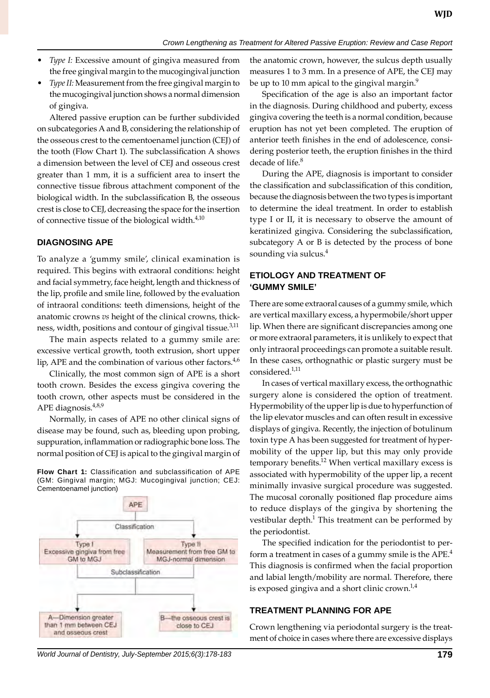- *Type I:* Excessive amount of gingiva measured from the free gingival margin to the mucogingival junction
- Type II: Measurement from the free gingival margin to the mucogingival junction shows a normal dimension of gingiva.

Altered passive eruption can be further subdivided on subcategories A and B, considering the relationship of the osseous crest to the cementoenamel junction (CEJ) of the tooth (Flow Chart 1). The subclassification A shows a dimension between the level of CEJ and osseous crest greater than 1 mm, it is a sufficient area to insert the connective tissue fibrous attachment component of the biological width. In the subclassification B, the osseous crest is close to CEJ, decreasing the space for the insertion of connective tissue of the biological width. $4,10$ 

### **Diagnosing APE**

To analyze a 'gummy smile', clinical examination is required. This begins with extraoral conditions: height and facial symmetry, face height, length and thickness of the lip, profile and smile line, followed by the evaluation of intraoral conditions: teeth dimensions, height of the anatomic crowns *vs* height of the clinical crowns, thickness, width, positions and contour of gingival tissue.<sup>3,11</sup>

The main aspects related to a gummy smile are: excessive vertical growth, tooth extrusion, short upper lip, APE and the combination of various other factors. $4,6$ 

Clinically, the most common sign of APE is a short tooth crown. Besides the excess gingiva covering the tooth crown, other aspects must be considered in the APE diagnosis.<sup>4,8,9</sup>

Normally, in cases of APE no other clinical signs of disease may be found, such as, bleeding upon probing, suppuration, inflammation or radiographic bone loss. The normal position of CEJ is apical to the gingival margin of

Flow Chart 1: Classification and subclassification of APE (GM: Gingival margin; MGJ: Mucogingival junction; CEJ: cementoenamel junction)



*World Journal of Dentistry, July-September 2015;6(3):178-183* **179**

the anatomic crown, however, the sulcus depth usually measures 1 to 3 mm. In a presence of APE, the CEJ may be up to 10 mm apical to the gingival margin.<sup>9</sup>

 Specification of the age is also an important factor in the diagnosis. During childhood and puberty, excess gingiva covering the teeth is a normal condition, because eruption has not yet been completed. The eruption of anterior teeth finishes in the end of adolescence, considering posterior teeth, the eruption finishes in the third decade of life.<sup>8</sup>

During the APE, diagnosis is important to consider the classification and subclassification of this condition, because the diagnosis between the two types is important to determine the ideal treatment. In order to establish type I or II, it is necessary to observe the amount of keratinized gingiva. Considering the subclassification, subcategory A or B is detected by the process of bone sounding via sulcus.<sup>4</sup>

## **Etiology and treatment of 'Gummy smile'**

There are some extraoral causes of a gummy smile, which are vertical maxillary excess, a hypermobile/short upper lip. When there are significant discrepancies among one or more extraoral parameters, it is unlikely to expect that only intraoral proceedings can promote a suitable result. In these cases, orthognathic or plastic surgery must be considered.<sup>1,11</sup>

In cases of vertical maxillary excess, the orthognathic surgery alone is considered the option of treatment. Hypermobility of the upper lip is due to hyperfunction of the lip elevator muscles and can often result in excessive displays of gingiva. Recently, the injection of botulinum toxin type A has been suggested for treatment of hypermobility of the upper lip, but this may only provide temporary benefits.<sup>12</sup> When vertical maxillary excess is associated with hypermobility of the upper lip, a recent minimally invasive surgical procedure was suggested. The mucosal coronally positioned flap procedure aims to reduce displays of the gingiva by shortening the vestibular depth.<sup>1</sup> This treatment can be performed by the periodontist.

 The specified indication for the periodontist to perform a treatment in cases of a gummy smile is the APE. $4$ This diagnosis is confirmed when the facial proportion and labial length/mobility are normal. Therefore, there is exposed gingiva and a short clinic crown. $^{1,4}$ 

#### **Treatment planning for APE**

Crown lengthening via periodontal surgery is the treatment of choice in cases where there are excessive displays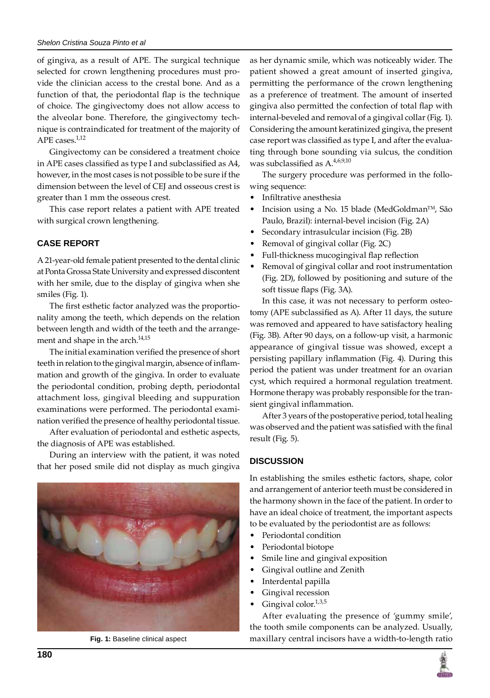of gingiva, as a result of APE. The surgical technique selected for crown lengthening procedures must provide the clinician access to the crestal bone. And as a function of that, the periodontal flap is the technique of choice. The gingivectomy does not allow access to the alveolar bone. Therefore, the gingivectomy technique is contraindicated for treatment of the majority of APE cases.<sup>1,12</sup>

Gingivectomy can be considered a treatment choice in APE cases classified as type I and subclassified as A4, however, in the most cases is not possible to be sure if the dimension between the level of CEJ and osseous crest is greater than 1 mm the osseous crest.

This case report relates a patient with APE treated with surgical crown lengthening.

# **CASE REPORT**

A 21-year-old female patient presented to the dental clinic at Ponta Grossa State University and expressed discontent with her smile, due to the display of gingiva when she smiles (Fig. 1).

 The first esthetic factor analyzed was the proportionality among the teeth, which depends on the relation between length and width of the teeth and the arrangement and shape in the arch.<sup>14,15</sup>

 The initial examination verified the presence of short teeth in relation to the gingival margin, absence of inflammation and growth of the gingiva. In order to evaluate the periodontal condition, probing depth, periodontal attachment loss, gingival bleeding and suppuration examinations were performed. The periodontal examination verified the presence of healthy periodontal tissue.

After evaluation of periodontal and esthetic aspects, the diagnosis of APE was established.

During an interview with the patient, it was noted that her posed smile did not display as much gingiva



as her dynamic smile, which was noticeably wider. The patient showed a great amount of inserted gingiva, permitting the performance of the crown lengthening as a preference of treatment. The amount of inserted gingiva also permitted the confection of total flap with internal-beveled and removal of a gingival collar (Fig. 1). Considering the amount keratinized gingiva, the present case report was classified as type I, and after the evaluating through bone sounding via sulcus, the condition was subclassified as  $A^{4,6,9,10}$ 

The surgery procedure was performed in the following sequence:

- Infiltrative anesthesia
- • Incision using a No. 15 blade (MedGoldman™, São Paulo, Brazil): internal-bevel incision (Fig. 2A)
- Secondary intrasulcular incision (Fig. 2B)
- Removal of gingival collar (Fig. 2C)
- Full-thickness mucogingival flap reflection
- Removal of gingival collar and root instrumentation (Fig. 2D), followed by positioning and suture of the soft tissue flaps (Fig. 3A).

In this case, it was not necessary to perform osteotomy (APE subclassified as A). After 11 days, the suture was removed and appeared to have satisfactory healing (Fig. 3B). After 90 days, on a follow-up visit, a harmonic appearance of gingival tissue was showed, except a persisting papillary inflammation (Fig. 4). During this period the patient was under treatment for an ovarian cyst, which required a hormonal regulation treatment. Hormone therapy was probably responsible for the transient gingival inflammation.

After 3 years of the postoperative period, total healing was observed and the patient was satisfied with the final result (Fig. 5).

# **DISCUSSION**

In establishing the smiles esthetic factors, shape, color and arrangement of anterior teeth must be considered in the harmony shown in the face of the patient. In order to have an ideal choice of treatment, the important aspects to be evaluated by the periodontist are as follows:

- Periodontal condition
- Periodontal biotope
- Smile line and gingival exposition
- Gingival outline and Zenith
- Interdental papilla
- Gingival recession
- Gingival color. $1,3,5$

After evaluating the presence of 'gummy smile', the tooth smile components can be analyzed. Usually, **Fig. 1:** Baseline clinical aspect maxillary central incisors have a width-to-length ratio

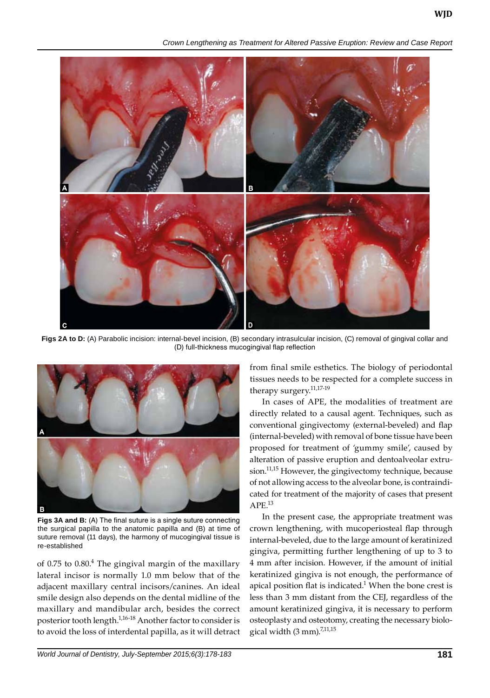*Crown Lengthening as Treatment for Altered Passive Eruption: Review and Case Report*



Figs 2A to D: (A) Parabolic incision: internal-bevel incision, (B) secondary intrasulcular incision, (C) removal of gingival collar and (D) full-thickness mucogingival flap reflection



**Figs 3A and B:** (A) The final suture is a single suture connecting the surgical papilla to the anatomic papilla and (B) at time of suture removal (11 days), the harmony of mucogingival tissue is re-established

of 0.75 to  $0.80$ <sup>4</sup> The gingival margin of the maxillary lateral incisor is normally 1.0 mm below that of the adjacent maxillary central incisors/canines. An ideal smile design also depends on the dental midline of the maxillary and mandibular arch, besides the correct posterior tooth length.<sup>1,16-18</sup> Another factor to consider is to avoid the loss of interdental papilla, as it will detract

from final smile esthetics. The biology of periodontal tissues needs to be respected for a complete success in therapy surgery.<sup>11,17-19</sup>

In cases of APE, the modalities of treatment are directly related to a causal agent. Techniques, such as conventional gingivectomy (external-beveled) and flap (internal-beveled) with removal of bone tissue have been proposed for treatment of 'gummy smile', caused by alteration of passive eruption and dentoalveolar extrusion. $11,15$  However, the gingivectomy technique, because of not allowing access to the alveolar bone, is contraindicated for treatment of the majority of cases that present  $APE.<sup>13</sup>$ 

In the present case, the appropriate treatment was crown lengthening, with mucoperiosteal flap through internal-beveled, due to the large amount of keratinized gingiva, permitting further lengthening of up to 3 to 4 mm after incision. However, if the amount of initial keratinized gingiva is not enough, the performance of apical position flat is indicated.<sup>1</sup> When the bone crest is less than 3 mm distant from the CEJ, regardless of the amount keratinized gingiva, it is necessary to perform osteoplasty and osteotomy, creating the necessary biological width (3 mm).<sup>7,11,15</sup>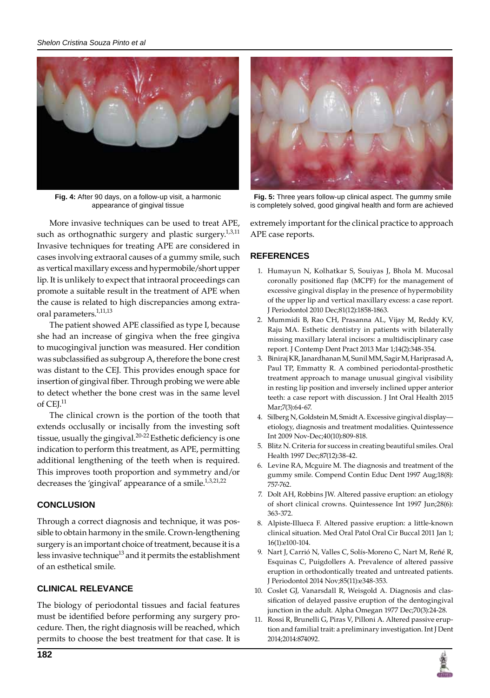

**Fig. 4:** After 90 days, on a follow-up visit, a harmonic appearance of gingival tissue

 More invasive techniques can be used to treat APE, such as orthognathic surgery and plastic surgery. $1,3,11$ Invasive techniques for treating APE are considered in cases involving extraoral causes of a gummy smile, such as vertical maxillary excess and hypermobile/short upper lip. It is unlikely to expect that intraoral proceedings can promote a suitable result in the treatment of APE when the cause is related to high discrepancies among extraoral parameters.<sup>1,11,13</sup>

 The patient showed APE classified as type I, because she had an increase of gingiva when the free gingiva to mucogingival junction was measured. Her condition was subclassified as subgroup A, therefore the bone crest was distant to the CEJ. This provides enough space for insertion of gingival fiber. Through probing we were able to detect whether the bone crest was in the same level of  $CEI$ <sup>11</sup>

The clinical crown is the portion of the tooth that extends occlusally or incisally from the investing soft tissue, usually the gingival.<sup>20-22</sup> Esthetic deficiency is one indication to perform this treatment, as APE, permitting additional lengthening of the teeth when is required. This improves tooth proportion and symmetry and/or decreases the 'gingival' appearance of a smile. $^{1,3,21,22}$ 

# **CONCLUSION**

Through a correct diagnosis and technique, it was possible to obtain harmony in the smile. Crown-lengthening surgery is an important choice of treatment, because it is a less invasive technique<sup>13</sup> and it permits the establishment of an esthetical smile.

# **CLINICAL RELEVANCE**

The biology of periodontal tissues and facial features must be identified before performing any surgery procedure. Then, the right diagnosis will be reached, which permits to choose the best treatment for that case. It is



 **Fig. 5:** Three years follow-up clinical aspect. The gummy smile is completely solved, good gingival health and form are achieved

extremely important for the clinical practice to approach APE case reports.

# **REFERENCES**

- 1. Humayun N, Kolhatkar S, Souiyas J, Bhola M. Mucosal coronally positioned flap (MCPF) for the management of excessive gingival display in the presence of hypermobility of the upper lip and vertical maxillary excess: a case report. J Periodontol 2010 Dec;81(12):1858-1863.
- 2. Mummidi B, Rao CH, Prasanna AL, Vijay M, Reddy KV, Raju MA. Esthetic dentistry in patients with bilaterally missing maxillary lateral incisors: a multidisciplinary case report. J Contemp Dent Pract 2013 Mar 1;14(2):348-354.
- 3. Biniraj KR, Janardhanan M, Sunil MM, Sagir M, Hariprasad A, Paul TP, Emmatty R. A combined periodontal-prosthetic treatment approach to manage unusual gingival visibility in resting lip position and inversely inclined upper anterior teeth: a case report with discussion. J Int Oral Health 2015 Mar;7(3):64-67.
- 4. Silberg N, Goldstein M, Smidt A. Excessive gingival display etiology, diagnosis and treatment modalities. Quintessence Int 2009 Nov-Dec;40(10):809-818.
- 5. Blitz N. Criteria for success in creating beautiful smiles. Oral Health 1997 Dec;87(12):38-42.
- 6. Levine RA, Mcguire M. The diagnosis and treatment of the gummy smile. Compend Contin Educ Dent 1997 Aug;18(8): 757-762.
- 7. Dolt AH, Robbins JW. Altered passive eruption: an etiology of short clinical crowns. Quintessence Int 1997 Jun;28(6): 363-372.
- 8. Alpiste-Illueca F. Altered passive eruption: a little-known clinical situation. Med Oral Patol Oral Cir Buccal 2011 Jan 1; 16(1):e100-104.
- 9. Nart J, Carrió N, Valles C, Solís-Moreno C, Nart M, Reñé R, Esquinas C, Puigdollers A. Prevalence of altered passive eruption in orthodontically treated and untreated patients. J Periodontol 2014 Nov;85(11):e348-353.
- 10. Coslet GJ, Vanarsdall R, Weisgold A. Diagnosis and classification of delayed passive eruption of the dentogingival junction in the adult. Alpha Omegan 1977 Dec;70(3):24-28.
- 11. Rossi R, Brunelli G, Piras V, Pilloni A. Altered passive eruption and familial trait: a preliminary investigation. Int J Dent 2014;2014:874092.